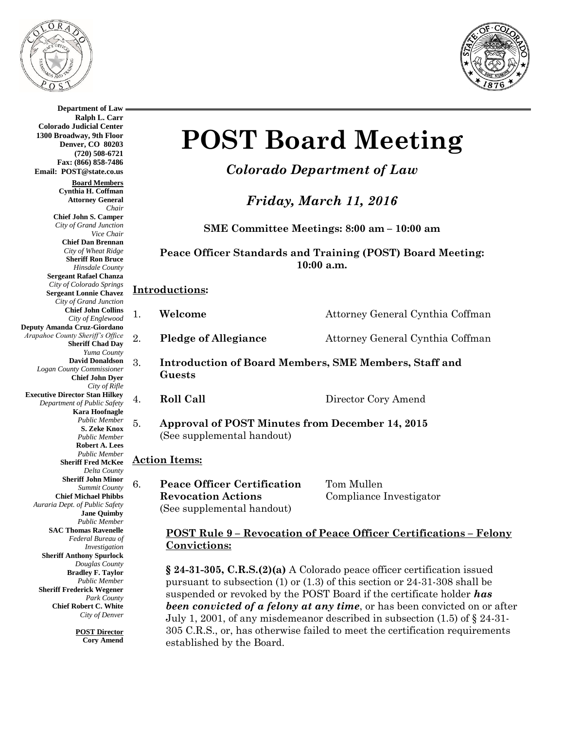

**Department of Law Ralph L. Carr**



#### **Colorado Judicial Center 1300 Broadway, 9th Floor Denver, CO 80203 (720) 508-6721 Fax: (866) 858-7486 Email: POST@state.co.us Board Members Cynthia H. Coffman Attorney General** *Chair* **Chief John S. Camper** *City of Grand Junction Vice Chair* **Chief Dan Brennan** *City of Wheat Ridge* **Sheriff Ron Bruce** *Hinsdale County* **Sergeant Rafael Chanza** *City of Colorado Springs* **Sergeant Lonnie Chavez** *City of Grand Junction* **Chief John Collins** *City of Englewood* **Deputy Amanda Cruz-Giordano** *Arapahoe County Sheriff's Office* **Sheriff Chad Day** *Yuma County* **David Donaldson** *Logan County Commissioner* **Chief John Dyer** *City of Rifle* **Executive Director Stan Hilkey** *Department of Public Safety* **Kara Hoofnagle** *Public Member* **S. Zeke Knox** *Public Member* **Robert A. Lees** *Public Member* **Sheriff Fred McKee** *Delta County* **Sheriff John Minor** *Summit County* **Chief Michael Phibbs** *Auraria Dept. of Public Safety* **Jane Quimby** *Public Member* **SAC Thomas Ravenelle** *Federal Bureau of Investigation* **Sheriff Anthony Spurlock** *Douglas County* **Bradley F. Taylor** *Public Member* **Sheriff Frederick Wegener** *Park County* **Chief Robert C. White** *City of Denver*

**POST Director Cory Amend**

# **POST Board Meeting**

## *Colorado Department of Law*

*Friday, March 11, 2016*

**SME Committee Meetings: 8:00 am – 10:00 am**

**Peace Officer Standards and Training (POST) Board Meeting: 10:00 a.m.**

#### **Introductions:**

1. **Welcome** Attorney General Cynthia Coffman

2. **Pledge of Allegiance** Attorney General Cynthia Coffman

- 3. **Introduction of Board Members, SME Members, Staff and Guests**
	-

4. **Roll Call** Director Cory Amend

5. **Approval of POST Minutes from December 14, 2015** (See supplemental handout)

#### **Action Items:**

6. **Peace Officer Certification** Tom Mullen **Revocation Actions** Compliance Investigator (See supplemental handout)

#### **POST Rule 9 – Revocation of Peace Officer Certifications – Felony Convictions:**

**§ 24-31-305, C.R.S.(2)(a)** A Colorado peace officer certification issued pursuant to subsection (1) or (1.3) of this section or 24-31-308 shall be suspended or revoked by the POST Board if the certificate holder *has been convicted of a felony at any time*, or has been convicted on or after July 1, 2001, of any misdemeanor described in subsection  $(1.5)$  of  $\S$  24-31-305 C.R.S., or, has otherwise failed to meet the certification requirements established by the Board.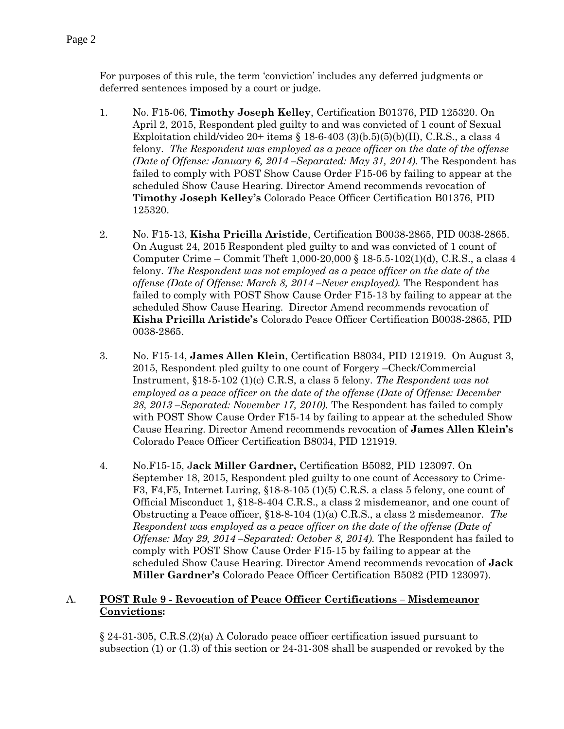For purposes of this rule, the term 'conviction' includes any deferred judgments or deferred sentences imposed by a court or judge.

- 1. No. F15-06, **Timothy Joseph Kelley**, Certification B01376, PID 125320. On April 2, 2015, Respondent pled guilty to and was convicted of 1 count of Sexual Exploitation child/video 20+ items  $\S 18-6-403(3)(b.5)(5)(b)(II)$ , C.R.S., a class 4 felony. *The Respondent was employed as a peace officer on the date of the offense (Date of Offense: January 6, 2014 –Separated: May 31, 2014).* The Respondent has failed to comply with POST Show Cause Order F15-06 by failing to appear at the scheduled Show Cause Hearing. Director Amend recommends revocation of **Timothy Joseph Kelley's** Colorado Peace Officer Certification B01376, PID 125320.
- 2. No. F15-13, **Kisha Pricilla Aristide**, Certification B0038-2865, PID 0038-2865. On August 24, 2015 Respondent pled guilty to and was convicted of 1 count of Computer Crime – Commit Theft 1,000-20,000 § 18-5.5-102(1)(d), C.R.S., a class 4 felony. *The Respondent was not employed as a peace officer on the date of the offense (Date of Offense: March 8, 2014 –Never employed).* The Respondent has failed to comply with POST Show Cause Order F15-13 by failing to appear at the scheduled Show Cause Hearing. Director Amend recommends revocation of **Kisha Pricilla Aristide's** Colorado Peace Officer Certification B0038-2865, PID 0038-2865.
- 3. No. F15-14, **James Allen Klein**, Certification B8034, PID 121919. On August 3, 2015, Respondent pled guilty to one count of Forgery –Check/Commercial Instrument, §18-5-102 (1)(c) C.R.S, a class 5 felony. *The Respondent was not employed as a peace officer on the date of the offense (Date of Offense: December 28, 2013 –Separated: November 17, 2010).* The Respondent has failed to comply with POST Show Cause Order F15-14 by failing to appear at the scheduled Show Cause Hearing. Director Amend recommends revocation of **James Allen Klein's** Colorado Peace Officer Certification B8034, PID 121919.
- 4. No.F15-15, J**ack Miller Gardner,** Certification B5082, PID 123097. On September 18, 2015, Respondent pled guilty to one count of Accessory to Crime-F3, F4,F5, Internet Luring, §18-8-105 (1)(5) C.R.S. a class 5 felony, one count of Official Misconduct 1, §18-8-404 C.R.S., a class 2 misdemeanor, and one count of Obstructing a Peace officer, §18-8-104 (1)(a) C.R.S., a class 2 misdemeanor. *The Respondent was employed as a peace officer on the date of the offense (Date of Offense: May 29, 2014 –Separated: October 8, 2014).* The Respondent has failed to comply with POST Show Cause Order F15-15 by failing to appear at the scheduled Show Cause Hearing. Director Amend recommends revocation of **Jack Miller Gardner's** Colorado Peace Officer Certification B5082 (PID 123097).

#### A. **POST Rule 9 - Revocation of Peace Officer Certifications – Misdemeanor Convictions:**

§ 24-31-305, C.R.S.(2)(a) A Colorado peace officer certification issued pursuant to subsection (1) or (1.3) of this section or 24-31-308 shall be suspended or revoked by the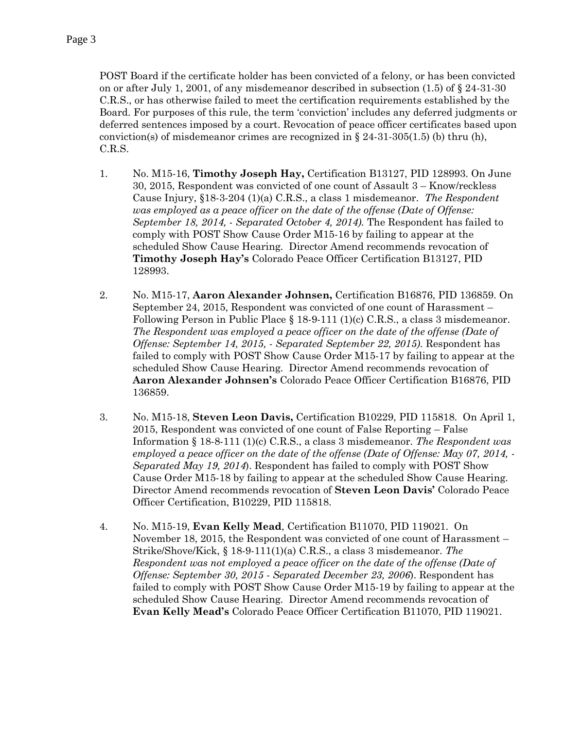POST Board if the certificate holder has been convicted of a felony, or has been convicted on or after July 1, 2001, of any misdemeanor described in subsection  $(1.5)$  of  $\S$  24-31-30 C.R.S., or has otherwise failed to meet the certification requirements established by the Board. For purposes of this rule, the term 'conviction' includes any deferred judgments or deferred sentences imposed by a court. Revocation of peace officer certificates based upon conviction(s) of misdemeanor crimes are recognized in  $\S 24-31-305(1.5)$  (b) thru (h), C.R.S.

- 1. No. M15-16, **Timothy Joseph Hay,** Certification B13127, PID 128993. On June 30, 2015, Respondent was convicted of one count of Assault 3 – Know/reckless Cause Injury, §18-3-204 (1)(a) C.R.S., a class 1 misdemeanor. *The Respondent was employed as a peace officer on the date of the offense (Date of Offense: September 18, 2014,* - *Separated October 4, 2014).* The Respondent has failed to comply with POST Show Cause Order M15-16 by failing to appear at the scheduled Show Cause Hearing. Director Amend recommends revocation of **Timothy Joseph Hay's** Colorado Peace Officer Certification B13127, PID 128993.
- 2. No. M15-17, **Aaron Alexander Johnsen,** Certification B16876, PID 136859. On September 24, 2015, Respondent was convicted of one count of Harassment – Following Person in Public Place § 18-9-111 (1)(c) C.R.S., a class 3 misdemeanor. *The Respondent was employed a peace officer on the date of the offense (Date of Offense: September 14, 2015, - Separated September 22, 2015)*. Respondent has failed to comply with POST Show Cause Order M15-17 by failing to appear at the scheduled Show Cause Hearing. Director Amend recommends revocation of **Aaron Alexander Johnsen's** Colorado Peace Officer Certification B16876, PID 136859.
- 3. No. M15-18, **Steven Leon Davis,** Certification B10229, PID 115818. On April 1, 2015, Respondent was convicted of one count of False Reporting – False Information § 18-8-111 (1)(c) C.R.S., a class 3 misdemeanor. *The Respondent was employed a peace officer on the date of the offense (Date of Offense: May 07, 2014, - Separated May 19, 2014*). Respondent has failed to comply with POST Show Cause Order M15-18 by failing to appear at the scheduled Show Cause Hearing. Director Amend recommends revocation of **Steven Leon Davis'** Colorado Peace Officer Certification, B10229, PID 115818.
- 4. No. M15-19, **Evan Kelly Mead**, Certification B11070, PID 119021. On November 18, 2015, the Respondent was convicted of one count of Harassment – Strike/Shove/Kick, § 18-9-111(1)(a) C.R.S., a class 3 misdemeanor. *The Respondent was not employed a peace officer on the date of the offense (Date of Offense: September 30, 2015 - Separated December 23, 2006*). Respondent has failed to comply with POST Show Cause Order M15-19 by failing to appear at the scheduled Show Cause Hearing. Director Amend recommends revocation of **Evan Kelly Mead's** Colorado Peace Officer Certification B11070, PID 119021.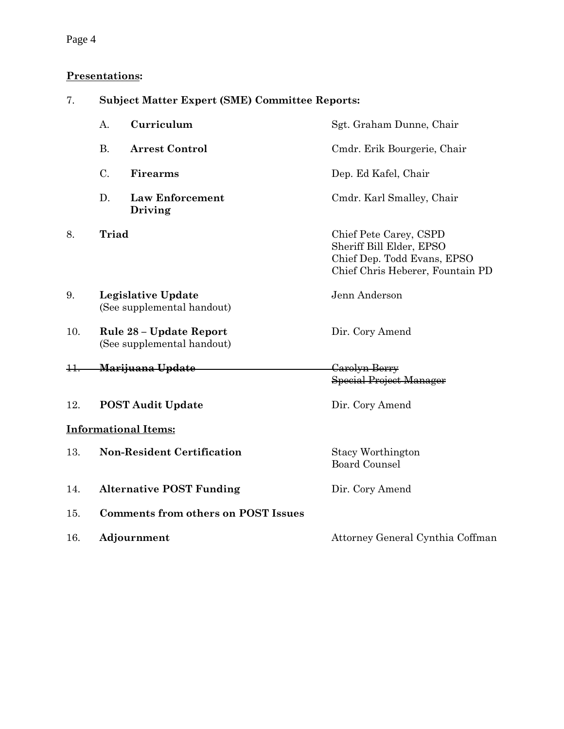## Page 4

### **Presentations:**

| 7.             | <b>Subject Matter Expert (SME) Committee Reports:</b>   |                                            |                                                                                                                       |  |
|----------------|---------------------------------------------------------|--------------------------------------------|-----------------------------------------------------------------------------------------------------------------------|--|
|                | A.                                                      | Curriculum                                 | Sgt. Graham Dunne, Chair                                                                                              |  |
|                | <b>B.</b>                                               | <b>Arrest Control</b>                      | Cmdr. Erik Bourgerie, Chair                                                                                           |  |
|                | C.                                                      | <b>Firearms</b>                            | Dep. Ed Kafel, Chair                                                                                                  |  |
|                | D.                                                      | <b>Law Enforcement</b><br>Driving          | Cmdr. Karl Smalley, Chair                                                                                             |  |
| 8.             | <b>Triad</b>                                            |                                            | Chief Pete Carey, CSPD<br>Sheriff Bill Elder, EPSO<br>Chief Dep. Todd Evans, EPSO<br>Chief Chris Heberer, Fountain PD |  |
| 9.             | <b>Legislative Update</b><br>(See supplemental handout) |                                            | Jenn Anderson                                                                                                         |  |
| 10.            | Rule 28 – Update Report<br>(See supplemental handout)   |                                            | Dir. Cory Amend                                                                                                       |  |
| <del>11.</del> | <del>Marijuana Update</del>                             |                                            | Carolyn Berry<br><b>Special Project Manager</b>                                                                       |  |
| 12.            |                                                         | <b>POST Audit Update</b>                   | Dir. Cory Amend                                                                                                       |  |
|                |                                                         | <b>Informational Items:</b>                |                                                                                                                       |  |
| 13.            | <b>Non-Resident Certification</b>                       |                                            | Stacy Worthington<br><b>Board Counsel</b>                                                                             |  |
| 14.            |                                                         | <b>Alternative POST Funding</b>            | Dir. Cory Amend                                                                                                       |  |
| 15.            |                                                         | <b>Comments from others on POST Issues</b> |                                                                                                                       |  |
| 16.            |                                                         | Adjournment                                | Attorney General Cynthia Coffman                                                                                      |  |